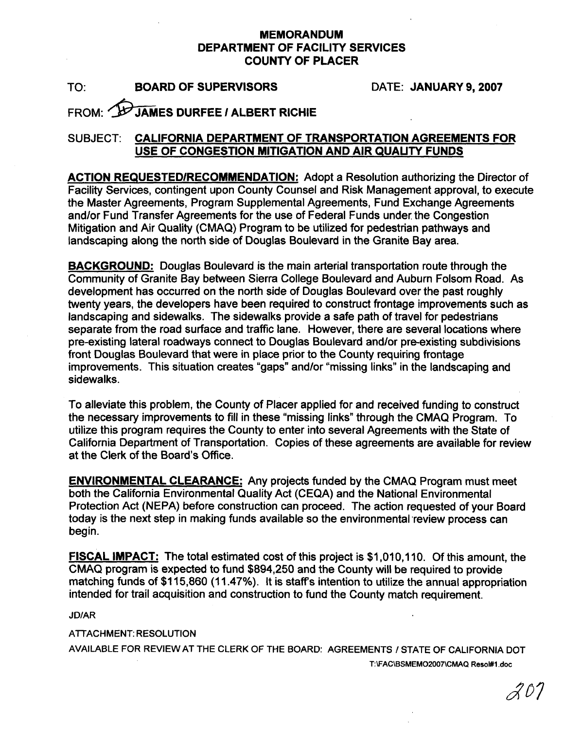## **MEMORANDUM DEPARTMENT OF FACILITY SERVICES COUNTY OF PLACER**

TO: **BOARD OF SUPERVISORS** DATE: **JANUARY 9,2007** 

## **FROM: WU JAMES DURFEE / ALBERT RICHIE**

## SUBJECT: **CALIFORNIA DEPARTMENT OF TRANSPORTATION AGREEMENTS FOR USE OF CONGESTION MITIGATION AND AIR QUAUTY FUNDS**

**ACTION REQUESTEDIRECOMMENDATION:** Adopt a Resolution authorizing the Director of Facility Services, contingent upon County Counsel and Risk Management approval, to execute the Master Agreements, Program Supplemental Agreements, Fund Exchange Agreements and/or Fund Transfer Agreements for the use of Federal Funds under, the Congestion Mitigation and Air Quality (CMAQ) Program to be utilized for pedestrian pathways and landscaping along the north side of Douglas Boulevard in the Granite Bay area.

**BACKGROUND:** Douglas Boulevard is the main arterial transportation route through the Community of Granite Bay between Sierra College Boulevard and Auburn Folsom Road. As development has occurred on the north side of Douglas Boulevard over the past roughly twenty years, the developers have been required to construct frontage improvements such as landscaping and sidewalks. The sidewalks provide a safe path of travel for pedestrians separate from the road surface and traffic lane. However, there are several locations where pre-existing lateral roadways connect to Douglas Boulevard and/or pre-existing subdivisions front Douglas Boulevard that were in place prior to the County requiring frontage improvements. This situation creates "gaps" and/or "missing links" in the landscaping and sidewalks.

To alleviate this problem, the County of Placer applied for and received funding to construct the necessary improvements to fill in these "missing links" through the CMAQ Program. To utilize this program requires the County to enter into several Agreements with the State of California Department of Transportation. Copies of these agreements are available for review at the Clerk of the Board's Office.

**ENVIRONMENTAL CLEARANCE:** Any projects funded by the CMAQ Program must meet both the California Environmental Quality Act (CEQA) and the National Environmental Protection Act (NEPA) before construction can proceed. The action requested of your Board today is the next step in making funds available so the environmental review process can begin.

**FISCAL IMPACT:** The total estimated cost of this project is \$1,010,110. Of this amount, the CMAQ program is expected to fund \$894,250 and the County will be required to provide matching funds of \$1 15,860 **(1** 1.47%). It is staffs intention to utilize the annual appropriation intended for trail acquisition and construction to fund the County match requirement.

**JD/AR** 

ATTACHMENT: RESOLUTION

AVAILABLE FOR REVIEW AT THE CLERK OF THE BOARD: AGREEMENTS / STATE OF CALIFORNIA DOT **T:\FAC\BSMEM02007\CMAQ Resol#l .doc** 

20°